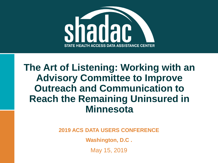

**The Art of Listening: Working with an Advisory Committee to Improve Outreach and Communication to Reach the Remaining Uninsured in Minnesota**

**2019 ACS DATA USERS CONFERENCE**

**Washington, D.C .**

May 15, 2019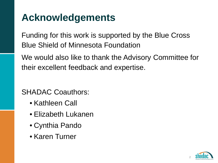# **Acknowledgements**

Funding for this work is supported by the Blue Cross Blue Shield of Minnesota Foundation

We would also like to thank the Advisory Committee for their excellent feedback and expertise.

SHADAC Coauthors:

- Kathleen Call
- Elizabeth Lukanen
- Cynthia Pando
- Karen Turner

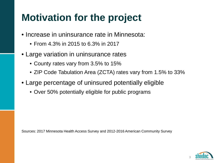# **Motivation for the project**

- Increase in uninsurance rate in Minnesota:
	- From 4.3% in 2015 to 6.3% in 2017
- Large variation in uninsurance rates
	- County rates vary from 3.5% to 15%
	- ZIP Code Tabulation Area (ZCTA) rates vary from 1.5% to 33%
- Large percentage of uninsured potentially eligible
	- Over 50% potentially eligible for public programs

Sources: 2017 Minnesota Health Access Survey and 2012-2016 American Community Survey

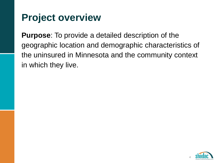# **Project overview**

**Purpose**: To provide a detailed description of the geographic location and demographic characteristics of the uninsured in Minnesota and the community context in which they live.

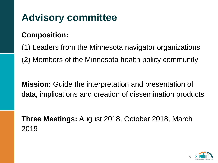# **Advisory committee**

#### **Composition:**

(1) Leaders from the Minnesota navigator organizations (2) Members of the Minnesota health policy community

**Mission:** Guide the interpretation and presentation of data, implications and creation of dissemination products

**Three Meetings:** August 2018, October 2018, March 2019

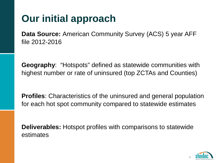# **Our initial approach**

**Data Source:** American Community Survey (ACS) 5 year AFF file 2012-2016

**Geography**: "Hotspots" defined as statewide communities with highest number or rate of uninsured (top ZCTAs and Counties)

**Profiles**: Characteristics of the uninsured and general population for each hot spot community compared to statewide estimates

**Deliverables:** Hotspot profiles with comparisons to statewide estimates

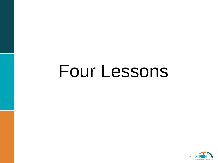# Four Lessons

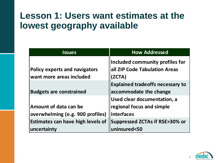#### **Lesson 1: Users want estimates at the lowest geography available**

| <b>Issues</b>                            | <b>How Addressed</b>                     |
|------------------------------------------|------------------------------------------|
|                                          | Included community profiles for          |
| <b>Policy experts and navigators</b>     | all ZIP Code Tabulation Areas            |
| want more areas included                 | (ZCTA)                                   |
|                                          | <b>Explained tradeoffs necessary to</b>  |
| <b>Budgets are constrained</b>           | accommodate the change                   |
|                                          | Used clear documentation, a              |
| Amount of data can be                    | regional focus and simple                |
| overwhelming (e.g. 900 profiles)         | interfaces                               |
| <b>Estimates can have high levels of</b> | <b>Suppressed ZCTAs if RSE&gt;30% or</b> |
| uncertainty                              | uninsured<50                             |

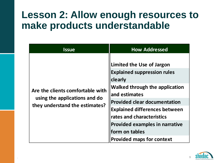#### **Lesson 2: Allow enough resources to make products understandable**

| <b>Issue</b>                                                                                        | <b>How Addressed</b>                                                                                                                                                                                                                                                                                                                            |
|-----------------------------------------------------------------------------------------------------|-------------------------------------------------------------------------------------------------------------------------------------------------------------------------------------------------------------------------------------------------------------------------------------------------------------------------------------------------|
| Are the clients comfortable with<br>using the applications and do<br>they understand the estimates? | Limited the Use of Jargon<br><b>Explained suppression rules</b><br>clearly<br><b>Walked through the application</b><br>and estimates<br><b>Provided clear documentation</b><br><b>Explained differences between</b><br>rates and characteristics<br><b>Provided examples in narrative</b><br>form on tables<br><b>Provided maps for context</b> |

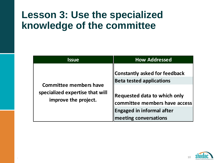## **Lesson 3: Use the specialized knowledge of the committee**

| <b>Issue</b>                                                                             | <b>How Addressed</b>                                                                                                                                                                                         |
|------------------------------------------------------------------------------------------|--------------------------------------------------------------------------------------------------------------------------------------------------------------------------------------------------------------|
| <b>Committee members have</b><br>specialized expertise that will<br>improve the project. | <b>Constantly asked for feedback</b><br><b>Beta tested applications</b><br><b>Requested data to which only</b><br>committee members have access<br><b>Engaged in informal after</b><br>meeting conversations |

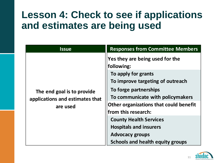## **Lesson 4: Check to see if applications and estimates are being used**

| <b>Issue</b>                                                              | <b>Responses from Committee Members</b>       |
|---------------------------------------------------------------------------|-----------------------------------------------|
| The end goal is to provide<br>applications and estimates that<br>are used | Yes they are being used for the<br>following: |
|                                                                           | To apply for grants                           |
|                                                                           | To improve targeting of outreach              |
|                                                                           | To forge partnerships                         |
|                                                                           | To communicate with policymakers              |
|                                                                           | Other organizations that could benefit        |
|                                                                           | from this research:                           |
|                                                                           | <b>County Health Services</b>                 |
|                                                                           | <b>Hospitals and insurers</b>                 |
|                                                                           | <b>Advocacy groups</b>                        |
|                                                                           | <b>Schools and health equity groups</b>       |

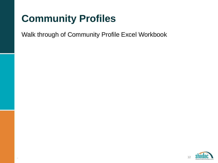# **Community Profiles**

Walk through of Community Profile Excel Workbook

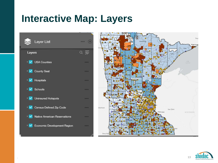#### **Interactive Map: Layers**





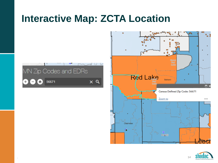#### **Interactive Map: ZCTA Location**







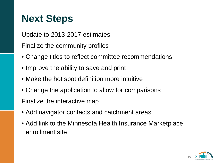# **Next Steps**

Update to 2013-2017 estimates

Finalize the community profiles

- Change titles to reflect committee recommendations
- Improve the ability to save and print
- Make the hot spot definition more intuitive
- Change the application to allow for comparisons

Finalize the interactive map

- Add navigator contacts and catchment areas
- Add link to the Minnesota Health Insurance Marketplace enrollment site